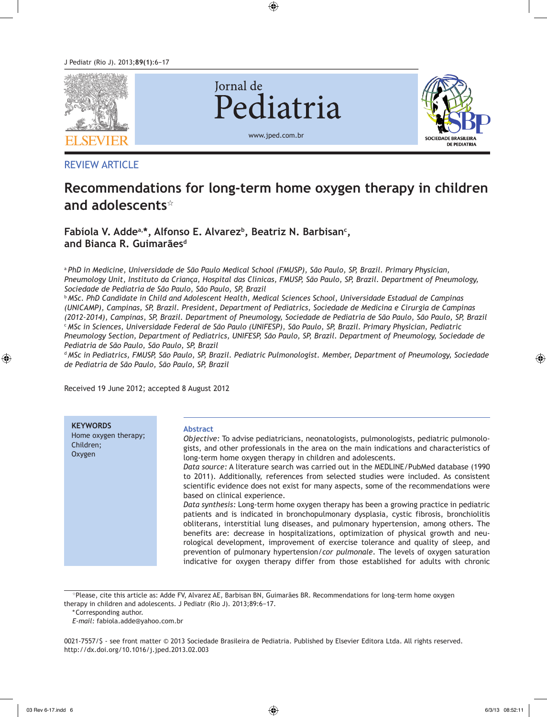

## REVIEW ARTICLE

# **Recommendations for long-term home oxygen therapy in children and adolescents**☆

**Fabíola V. Addea,\*, Alfonso E. Alvarezb, Beatriz N. Barbisanc ,**  and Bianca R. Guimarães<sup>d</sup>

<sup>a</sup>*PhD in Medicine, Universidade de São Paulo Medical School (FMUSP), São Paulo, SP, Brazil. Primary Physician, Pneumology Unit, Instituto da Criança, Hospital das Clínicas, FMUSP, São Paulo, SP, Brazil. Department of Pneumology, Sociedade de Pediatria de São Paulo, São Paulo, SP, Brazil*

<sup>b</sup>*MSc. PhD Candidate in Child and Adolescent Health, Medical Sciences School, Universidade Estadual de Campinas (UNICAMP), Campinas, SP, Brazil. President, Department of Pediatrics, Sociedade de Medicina e Cirurgia de Campinas (2012-2014), Campinas, SP, Brazil. Department of Pneumology, Sociedade de Pediatria de São Paulo, São Paulo, SP, Brazil* <sup>c</sup>*MSc in Sciences, Universidade Federal de São Paulo (UNIFESP), São Paulo, SP, Brazil. Primary Physician, Pediatric Pneumology Section, Department of Pediatrics, UNIFESP, São Paulo, SP, Brazil. Department of Pneumology, Sociedade de Pediatria de São Paulo, São Paulo, SP, Brazil*

<sup>d</sup>*MSc in Pediatrics, FMUSP, São Paulo, SP, Brazil. Pediatric Pulmonologist. Member, Department of Pneumology, Sociedade de Pediatria de São Paulo, São Paulo, SP, Brazil*

Received 19 June 2012; accepted 8 August 2012



<sup>☆</sup>Please, cite this article as: Adde FV, Alvarez AE, Barbisan BN, Guimarães BR. Recommendations for long-term home oxygen therapy in children and adolescents. J Pediatr (Rio J). 2013;89:6−17.

\*Corresponding author.

*E-mail:* fabiola.adde@yahoo.com.br

<sup>0021-7557/\$ -</sup> see front matter © 2013 Sociedade Brasileira de Pediatria. Published by Elsevier Editora Ltda. All rights reserved. http://dx.doi.org/10.1016/j.jped.2013.02.003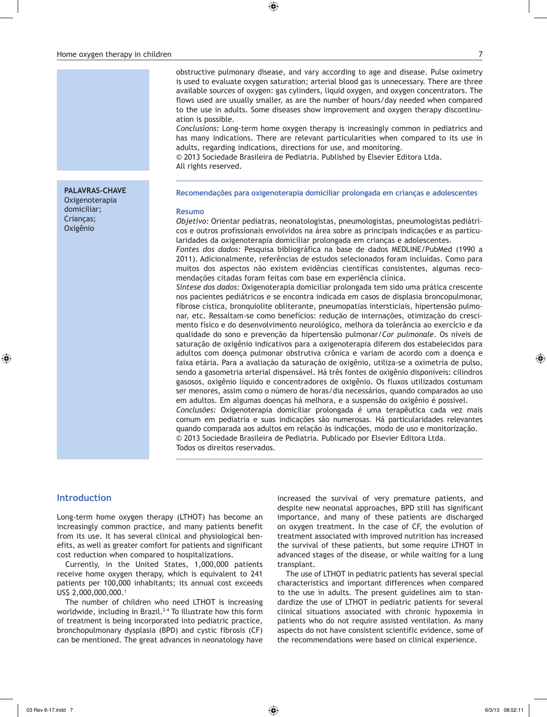obstructive pulmonary disease, and vary according to age and disease. Pulse oximetry is used to evaluate oxygen saturation; arterial blood gas is unnecessary. There are three available sources of oxygen: gas cylinders, liquid oxygen, and oxygen concentrators. The flows used are usually smaller, as are the number of hours/day needed when compared to the use in adults. Some diseases show improvement and oxygen therapy discontinuation is possible.

*Conclusions:* Long-term home oxygen therapy is increasingly common in pediatrics and has many indications. There are relevant particularities when compared to its use in adults, regarding indications, directions for use, and monitoring.

© 2013 Sociedade Brasileira de Pediatria. Published by Elsevier Editora Ltda. All rights reserved.

**Recomendações para oxigenoterapia domiciliar prolongada em crianças e adolescentes**

#### **Resumo**

*Objetivo:* Orientar pediatras, neonatologistas, pneumologistas, pneumologistas pediátricos e outros profissionais envolvidos na área sobre as principais indicações e as particularidades da oxigenoterapia domiciliar prolongada em crianças e adolescentes.

*Fontes dos dados:* Pesquisa bibliográfica na base de dados MEDLINE/PubMed (1990 a 2011). Adicionalmente, referências de estudos selecionados foram incluídas. Como para muitos dos aspectos não existem evidências científicas consistentes, algumas recomendações citadas foram feitas com base em experiência clínica.

*Síntese dos dados:* Oxigenoterapia domiciliar prolongada tem sido uma prática crescente nos pacientes pediátricos e se encontra indicada em casos de displasia broncopulmonar, fibrose cística, bronquiolite obliterante, pneumopatias intersticiais, hipertensão pulmonar, etc. Ressaltam-se como benefícios: redução de internações, otimização do crescimento físico e do desenvolvimento neurológico, melhora da tolerância ao exercício e da qualidade do sono e prevenção da hipertensão pulmonar/*Cor pulmonale*. Os níveis de saturação de oxigênio indicativos para a oxigenoterapia diferem dos estabelecidos para adultos com doença pulmonar obstrutiva crônica e variam de acordo com a doença e faixa etária. Para a avaliação da saturação de oxigênio, utiliza-se a oximetria de pulso, sendo a gasometria arterial dispensável. Há três fontes de oxigênio disponíveis: cilindros gasosos, oxigênio líquido e concentradores de oxigênio. Os fluxos utilizados costumam ser menores, assim como o número de horas/dia necessários, quando comparados ao uso em adultos. Em algumas doenças há melhora, e a suspensão do oxigênio é possível. *Conclusões:* Oxigenoterapia domiciliar prolongada é uma terapêutica cada vez mais comum em pediatria e suas indicações são numerosas. Há particularidades relevantes quando comparada aos adultos em relação às indicações, modo de uso e monitorização. © 2013 Sociedade Brasileira de Pediatria. Publicado por Elsevier Editora Ltda. Todos os direitos reservados.

## **Introduction**

Long-term home oxygen therapy (LTHOT) has become an increasingly common practice, and many patients benefit from its use. It has several clinical and physiological benefits, as well as greater comfort for patients and significant cost reduction when compared to hospitalizations.

Currently, in the United States, 1,000,000 patients receive home oxygen therapy, which is equivalent to 241 patients per 100,000 inhabitants; its annual cost exceeds US\$ 2,000,000,000.<sup>1</sup>

The number of children who need LTHOT is increasing worldwide, including in Brazil.<sup>2-4</sup> To illustrate how this form of treatment is being incorporated into pediatric practice, bronchopulmonary dysplasia (BPD) and cystic fibrosis (CF) can be mentioned. The great advances in neonatology have increased the survival of very premature patients, and despite new neonatal approaches, BPD still has significant importance, and many of these patients are discharged on oxygen treatment. In the case of CF, the evolution of treatment associated with improved nutrition has increased the survival of these patients, but some require LTHOT in advanced stages of the disease, or while waiting for a lung transplant.

The use of LTHOT in pediatric patients has several special characteristics and important differences when compared to the use in adults. The present guidelines aim to standardize the use of LTHOT in pediatric patients for several clinical situations associated with chronic hypoxemia in patients who do not require assisted ventilation. As many aspects do not have consistent scientific evidence, some of the recommendations were based on clinical experience.

**PALAVRAS-CHAVE** Oxigenoterapia domiciliar; Crianças; Oxigênio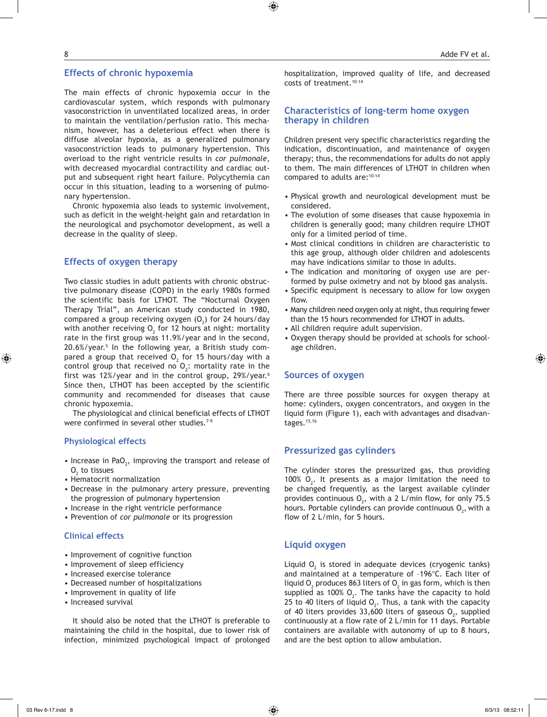## **Effects of chronic hypoxemia**

The main effects of chronic hypoxemia occur in the cardiovascular system, which responds with pulmonary vasoconstriction in unventilated localized areas, in order to maintain the ventilation/perfusion ratio. This mechanism, however, has a deleterious effect when there is diffuse alveolar hypoxia, as a generalized pulmonary vasoconstriction leads to pulmonary hypertension. This overload to the right ventricle results in *cor pulmonale*, with decreased myocardial contractility and cardiac output and subsequent right heart failure. Polycythemia can occur in this situation, leading to a worsening of pulmonary hypertension.

Chronic hypoxemia also leads to systemic involvement, such as deficit in the weight-height gain and retardation in the neurological and psychomotor development, as well a decrease in the quality of sleep.

## **Effects of oxygen therapy**

Two classic studies in adult patients with chronic obstructive pulmonary disease (COPD) in the early 1980s formed the scientific basis for LTHOT. The "Nocturnal Oxygen Therapy Trial", an American study conducted in 1980, compared a group receiving oxygen (O<sub>2</sub>) for 24 hours/day with another receiving  ${\mathsf O}_{_{\!2}}$  for 12 hours at night: mortality rate in the first group was 11.9%/year and in the second, 20.6%/year.5 In the following year, a British study compared a group that received  ${\mathsf O}_2$  for 15 hours/day with a control group that received no  $O<sub>2</sub>$ : mortality rate in the first was 12%/year and in the control group, 29%/year.<sup>6</sup> Since then, LTHOT has been accepted by the scientific community and recommended for diseases that cause chronic hypoxemia.

The physiological and clinical beneficial effects of LTHOT were confirmed in several other studies.<sup>7-9</sup>

## **Physiological effects**

- Increase in PaO<sub>2</sub>, improving the transport and release of  $O_2$  to tissues
- Hematocrit normalization
- Decrease in the pulmonary artery pressure, preventing the progression of pulmonary hypertension
- Increase in the right ventricle performance
- Prevention of *cor pulmonale* or its progression

#### **Clinical effects**

- Improvement of cognitive function
- Improvement of sleep efficiency
- Increased exercise tolerance
- Decreased number of hospitalizations
- Improvement in quality of life
- Increased survival

It should also be noted that the LTHOT is preferable to maintaining the child in the hospital, due to lower risk of infection, minimized psychological impact of prolonged hospitalization, improved quality of life, and decreased costs of treatment.10-14

## **Characteristics of long-term home oxygen therapy in children**

Children present very specific characteristics regarding the indication, discontinuation, and maintenance of oxygen therapy; thus, the recommendations for adults do not apply to them. The main differences of LTHOT in children when compared to adults are:<sup>10-14</sup>

- Physical growth and neurological development must be considered.
- The evolution of some diseases that cause hypoxemia in children is generally good; many children require LTHOT only for a limited period of time.
- Most clinical conditions in children are characteristic to this age group, although older children and adolescents may have indications similar to those in adults.
- The indication and monitoring of oxygen use are performed by pulse oximetry and not by blood gas analysis.
- Specific equipment is necessary to allow for low oxygen flow.
- Many children need oxygen only at night, thus requiring fewer than the 15 hours recommended for LTHOT in adults.
- All children require adult supervision.
- Oxygen therapy should be provided at schools for schoolage children.

## **Sources of oxygen**

There are three possible sources for oxygen therapy at home: cylinders, oxygen concentrators, and oxygen in the liquid form (Figure 1), each with advantages and disadvantages.15,16

#### **Pressurized gas cylinders**

The cylinder stores the pressurized gas, thus providing 100%  $O_2$ . It presents as a major limitation the need to be changed frequently, as the largest available cylinder provides continuous  $O_{2}$ , with a 2 L/min flow, for only 75.5 hours. Portable cylinders can provide continuous  ${\mathsf O}_2^{}$ , with a flow of 2 L/min, for 5 hours.

#### **Liquid oxygen**

Liquid  $O_2$  is stored in adequate devices (cryogenic tanks) and maintained at a temperature of –196°C. Each liter of liquid O<sub>2</sub> produces 863 liters of O<sub>2</sub> in gas form, which is then supplied as 100%  $\mathsf{O}_2$ . The tanks have the capacity to hold 25 to 40 liters of liquid  $O_{2}$ . Thus, a tank with the capacity of 40 liters provides 33,600 liters of gaseous  $O<sub>2</sub>$ , supplied continuously at a flow rate of 2 L/min for 11 days. Portable containers are available with autonomy of up to 8 hours, and are the best option to allow ambulation.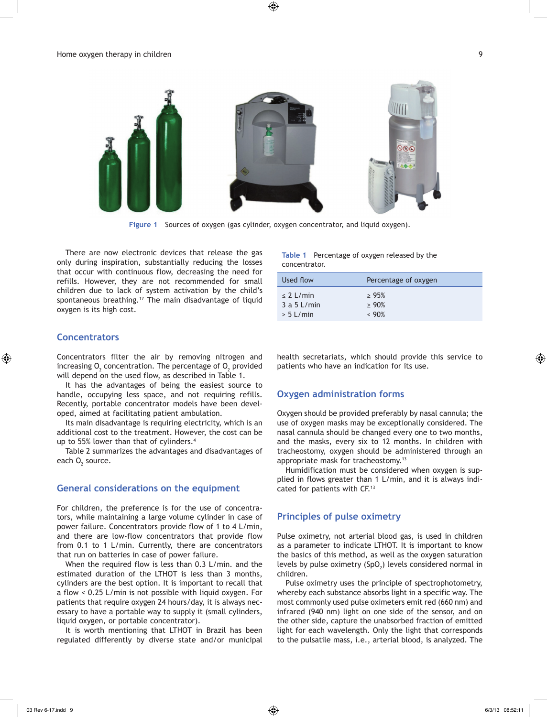

**Figure 1** Sources of oxygen (gas cylinder, oxygen concentrator, and liquid oxygen).

There are now electronic devices that release the gas only during inspiration, substantially reducing the losses that occur with continuous flow, decreasing the need for refills. However, they are not recommended for small children due to lack of system activation by the child's spontaneous breathing.<sup>17</sup> The main disadvantage of liquid oxygen is its high cost.

## **Concentrators**

Concentrators filter the air by removing nitrogen and increasing  ${\mathsf O}_{{}_2}$  concentration. The percentage of  ${\mathsf O}_{{}_2}$  provided will depend on the used flow, as described in Table 1.

It has the advantages of being the easiest source to handle, occupying less space, and not requiring refills. Recently, portable concentrator models have been developed, aimed at facilitating patient ambulation.

Its main disadvantage is requiring electricity, which is an additional cost to the treatment. However, the cost can be up to 55% lower than that of cylinders.4

Table 2 summarizes the advantages and disadvantages of each O<sub>2</sub> source.

#### **General considerations on the equipment**

For children, the preference is for the use of concentrators, while maintaining a large volume cylinder in case of power failure. Concentrators provide flow of 1 to 4 L/min, and there are low-flow concentrators that provide flow from 0.1 to 1 L/min. Currently, there are concentrators that run on batteries in case of power failure.

When the required flow is less than 0.3 L/min. and the estimated duration of the LTHOT is less than 3 months, cylinders are the best option. It is important to recall that a flow < 0.25 L/min is not possible with liquid oxygen. For patients that require oxygen 24 hours/day, it is always necessary to have a portable way to supply it (small cylinders, liquid oxygen, or portable concentrator).

It is worth mentioning that LTHOT in Brazil has been regulated differently by diverse state and/or municipal **Table 1** Percentage of oxygen released by the concentrator.

| Used flow      | Percentage of oxygen |
|----------------|----------------------|
| $\leq$ 2 L/min | $\geq 95\%$          |
| $3a5$ L/min    | $\geq 90\%$          |
| $> 5$ L/min    | < 90%                |

health secretariats, which should provide this service to patients who have an indication for its use.

## **Oxygen administration forms**

Oxygen should be provided preferably by nasal cannula; the use of oxygen masks may be exceptionally considered. The nasal cannula should be changed every one to two months, and the masks, every six to 12 months. In children with tracheostomy, oxygen should be administered through an appropriate mask for tracheostomy.<sup>13</sup>

Humidification must be considered when oxygen is supplied in flows greater than 1 L/min, and it is always indicated for patients with CF.13

## **Principles of pulse oximetry**

Pulse oximetry, not arterial blood gas, is used in children as a parameter to indicate LTHOT. It is important to know the basics of this method, as well as the oxygen saturation levels by pulse oximetry (SpO<sub>2</sub>) levels considered normal in children.

Pulse oximetry uses the principle of spectrophotometry, whereby each substance absorbs light in a specific way. The most commonly used pulse oximeters emit red (660 nm) and infrared (940 nm) light on one side of the sensor, and on the other side, capture the unabsorbed fraction of emitted light for each wavelength. Only the light that corresponds to the pulsatile mass, i.e., arterial blood, is analyzed. The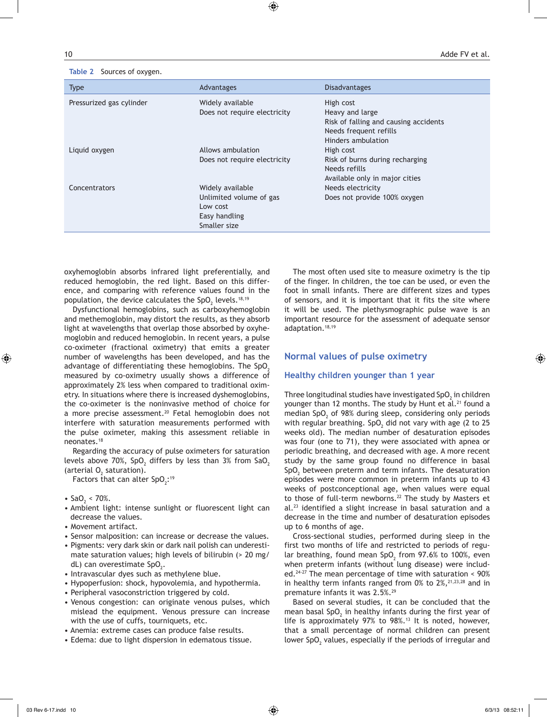**Table 2** Sources of oxygen.

| High cost                             |
|---------------------------------------|
| Heavy and large                       |
| Risk of falling and causing accidents |
| Needs frequent refills                |
| Hinders ambulation                    |
| High cost                             |
| Risk of burns during recharging       |
| Needs refills                         |
| Available only in major cities        |
| Needs electricity                     |
| Does not provide 100% oxygen          |
|                                       |
|                                       |
|                                       |
|                                       |

oxyhemoglobin absorbs infrared light preferentially, and reduced hemoglobin, the red light. Based on this difference, and comparing with reference values found in the population, the device calculates the SpO $_2$  levels. $^{18,19}$ 

Dysfunctional hemoglobins, such as carboxyhemoglobin and methemoglobin, may distort the results, as they absorb light at wavelengths that overlap those absorbed by oxyhemoglobin and reduced hemoglobin. In recent years, a pulse co-oximeter (fractional oximetry) that emits a greater number of wavelengths has been developed, and has the advantage of differentiating these hemoglobins. The SpO<sub>2</sub> measured by co-oximetry usually shows a difference of approximately 2% less when compared to traditional oximetry. In situations where there is increased dyshemoglobins, the co-oximeter is the noninvasive method of choice for a more precise assessment.<sup>20</sup> Fetal hemoglobin does not interfere with saturation measurements performed with the pulse oximeter, making this assessment reliable in neonates.18

Regarding the accuracy of pulse oximeters for saturation levels above 70%, SpO $_{\rm 2}$  differs by less than 3% from SaO $_{\rm 2}$ (arterial  $O_2$  saturation).

Factors that can alter SpO $_2$ :19

- $SaO_2 < 70\%$ .
- Ambient light: intense sunlight or fluorescent light can decrease the values.
- Movement artifact.
- Sensor malposition: can increase or decrease the values.
- Pigments: very dark skin or dark nail polish can underestimate saturation values; high levels of bilirubin (> 20 mg/ dL) can overestimate SpO<sub>2</sub>.
- Intravascular dyes such as methylene blue.
- Hypoperfusion: shock, hypovolemia, and hypothermia.
- Peripheral vasoconstriction triggered by cold.
- Venous congestion: can originate venous pulses, which mislead the equipment. Venous pressure can increase with the use of cuffs, tourniquets, etc.
- Anemia: extreme cases can produce false results.
- Edema: due to light dispersion in edematous tissue.

The most often used site to measure oximetry is the tip of the finger. In children, the toe can be used, or even the foot in small infants. There are different sizes and types of sensors, and it is important that it fits the site where it will be used. The plethysmographic pulse wave is an important resource for the assessment of adequate sensor adaptation.18,19

## **Normal values of pulse oximetry**

#### **Healthy children younger than 1 year**

Three longitudinal studies have investigated SpO $_{\textrm{\tiny{2}}}$  in children younger than 12 months. The study by Hunt et al.<sup>21</sup> found a median SpO<sub>2</sub> of 98% during sleep, considering only periods with regular breathing. SpO $_2$  did not vary with age (2 to 25  $\,$ weeks old). The median number of desaturation episodes was four (one to 71), they were associated with apnea or periodic breathing, and decreased with age. A more recent study by the same group found no difference in basal  $\mathsf{SpO}_2$  between preterm and term infants. The desaturation episodes were more common in preterm infants up to 43 weeks of postconceptional age, when values were equal to those of full-term newborns.<sup>22</sup> The study by Masters et al.23 identified a slight increase in basal saturation and a decrease in the time and number of desaturation episodes up to 6 months of age.

Cross-sectional studies, performed during sleep in the first two months of life and restricted to periods of regular breathing, found mean SpO $_2$  from 97.6% to 100%, even when preterm infants (without lung disease) were included.<sup>24-27</sup> The mean percentage of time with saturation  $< 90\%$ in healthy term infants ranged from  $0\%$  to  $2\%,^{21,23,28}$  and in premature infants it was 2.5%.29

Based on several studies, it can be concluded that the mean basal SpO $_2$  in healthy infants during the first year of life is approximately 97% to 98%.13 It is noted, however, that a small percentage of normal children can present lower SpO<sub>2</sub> values, especially if the periods of irregular and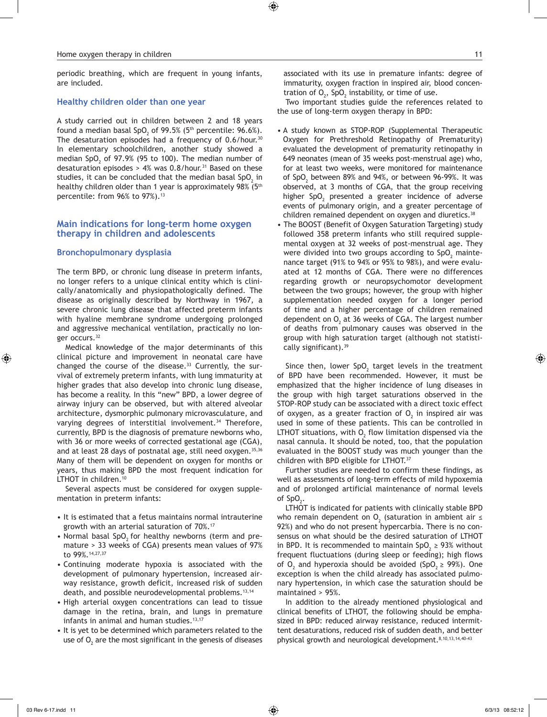periodic breathing, which are frequent in young infants, are included.

#### **Healthy children older than one year**

A study carried out in children between 2 and 18 years found a median basal SpO<sub>2</sub> of 99.5% (5th percentile: 96.6%). The desaturation episodes had a frequency of  $0.6/h$ our.<sup>30</sup> In elementary schoolchildren, another study showed a median SpO<sub>2</sub> of 97.9% (95 to 100). The median number of desaturation episodes  $> 4\%$  was 0.8/hour.<sup>31</sup> Based on these studies, it can be concluded that the median basal SpO $_2$  in healthy children older than 1 year is approximately  $98\%$  ( $5<sup>th</sup>$ percentile: from 96% to 97%).<sup>13</sup>

## **Main indications for long-term home oxygen therapy in children and adolescents**

#### **Bronchopulmonary dysplasia**

The term BPD, or chronic lung disease in preterm infants, no longer refers to a unique clinical entity which is clinically/anatomically and physiopathologically defined. The disease as originally described by Northway in 1967, a severe chronic lung disease that affected preterm infants with hyaline membrane syndrome undergoing prolonged and aggressive mechanical ventilation, practically no longer occurs.<sup>32</sup>

Medical knowledge of the major determinants of this clinical picture and improvement in neonatal care have changed the course of the disease.<sup>33</sup> Currently, the survival of extremely preterm infants, with lung immaturity at higher grades that also develop into chronic lung disease, has become a reality. In this "new" BPD, a lower degree of airway injury can be observed, but with altered alveolar architecture, dysmorphic pulmonary microvasculature, and varying degrees of interstitial involvement.<sup>34</sup> Therefore, currently, BPD is the diagnosis of premature newborns who, with 36 or more weeks of corrected gestational age (CGA), and at least 28 days of postnatal age, still need oxygen.<sup>35,36</sup> Many of them will be dependent on oxygen for months or years, thus making BPD the most frequent indication for LTHOT in children.<sup>10</sup>

Several aspects must be considered for oxygen supplementation in preterm infants:

- It is estimated that a fetus maintains normal intrauterine growth with an arterial saturation of 70%.17
- Normal basal SpO<sub>2</sub> for healthy newborns (term and premature > 33 weeks of CGA) presents mean values of 97% to 99%.14,27,37
- Continuing moderate hypoxia is associated with the development of pulmonary hypertension, increased airway resistance, growth deficit, increased risk of sudden death, and possible neurodevelopmental problems.<sup>13,14</sup>
- High arterial oxygen concentrations can lead to tissue damage in the retina, brain, and lungs in premature infants in animal and human studies.<sup>13,17</sup>
- It is yet to be determined which parameters related to the use of  $\mathsf{O}_2$  are the most significant in the genesis of diseases

associated with its use in premature infants: degree of immaturity, oxygen fraction in inspired air, blood concentration of  $O_2$ , Sp $O_2$  instability, or time of use.

Two important studies guide the references related to the use of long-term oxygen therapy in BPD:

- A study known as STOP-ROP (Supplemental Therapeutic Oxygen for Prethreshold Retinopathy of Prematurity) evaluated the development of prematurity retinopathy in 649 neonates (mean of 35 weeks post-menstrual age) who, for at least two weeks, were monitored for maintenance of SpO $_2$  between 89% and 94%, or between 96-99%. It was observed, at 3 months of CGA, that the group receiving higher  $SpO_2$  presented a greater incidence of adverse events of pulmonary origin, and a greater percentage of children remained dependent on oxygen and diuretics.<sup>38</sup>
- The BOOST (Benefit of Oxygen Saturation Targeting) study followed 358 preterm infants who still required supplemental oxygen at 32 weeks of post-menstrual age. They were divided into two groups according to SpO $_{\textrm{\tiny{2}}}$  maintenance target (91% to 94% or 95% to 98%), and were evaluated at 12 months of CGA. There were no differences regarding growth or neuropsychomotor development between the two groups; however, the group with higher supplementation needed oxygen for a longer period of time and a higher percentage of children remained dependent on  $O_2$  at 36 weeks of CGA. The largest number of deaths from pulmonary causes was observed in the group with high saturation target (although not statistically significant).39

Since then, lower  $SpO<sub>2</sub>$  target levels in the treatment of BPD have been recommended. However, it must be emphasized that the higher incidence of lung diseases in the group with high target saturations observed in the STOP-ROP study can be associated with a direct toxic effect of oxygen, as a greater fraction of  $\mathsf{O}_2$  in inspired air was used in some of these patients. This can be controlled in LTHOT situations, with  $O_{2}$  flow limitation dispensed via the nasal cannula. It should be noted, too, that the population evaluated in the BOOST study was much younger than the children with BPD eligible for LTHOT.37

Further studies are needed to confirm these findings, as well as assessments of long-term effects of mild hypoxemia and of prolonged artificial maintenance of normal levels of  $SpO<sub>2</sub>$ .

LTHOT is indicated for patients with clinically stable BPD who remain dependent on  ${\mathsf O}_2$  (saturation in ambient air  $\leq$ 92%) and who do not present hypercarbia. There is no consensus on what should be the desired saturation of LTHOT in BPD. It is recommended to maintain SpO<sub>2</sub>  $\geq$  93% without frequent fluctuations (during sleep or feeding); high flows of  $O_2$  and hyperoxia should be avoided (Sp $O_2 \geq 99\%$ ). One exception is when the child already has associated pulmonary hypertension, in which case the saturation should be maintained > 95%.

In addition to the already mentioned physiological and clinical benefits of LTHOT, the following should be emphasized in BPD: reduced airway resistance, reduced intermittent desaturations, reduced risk of sudden death, and better physical growth and neurological development.<sup>8,10,13,14,40-43</sup>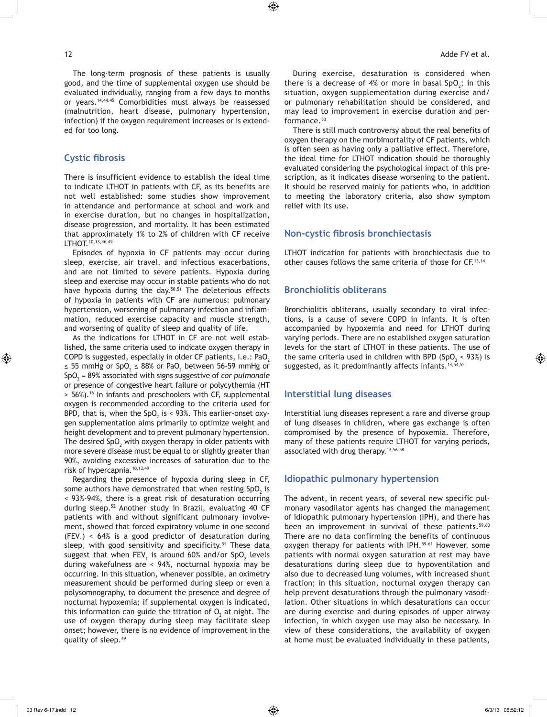The long-term prognosis of these patients is usually good, and the time of supplemental oxygen use should be evaluated individually, ranging from a few days to months or years.14,44,45 Comorbidities must always be reassessed (malnutrition, heart disease, pulmonary hypertension, infection) if the oxygen requirement increases or is extended for too long.

## **Cystic fibrosis**

There is insufficient evidence to establish the ideal time to indicate LTHOT in patients with CF, as its benefits are not well established: some studies show improvement in attendance and performance at school and work and in exercise duration, but no changes in hospitalization, disease progression, and mortality. It has been estimated that approximately 1% to 2% of children with CF receive LTHOT.<sup>10,13,46-49</sup>

Episodes of hypoxia in CF patients may occur during sleep, exercise, air travel, and infectious exacerbations, and are not limited to severe patients. Hypoxia during sleep and exercise may occur in stable patients who do not have hypoxia during the day.<sup>50,51</sup> The deleterious effects of hypoxia in patients with CF are numerous: pulmonary hypertension, worsening of pulmonary infection and inflammation, reduced exercise capacity and muscle strength, and worsening of quality of sleep and quality of life.

As the indications for LTHOT in CF are not well established, the same criteria used to indicate oxygen therapy in COPD is suggested, especially in older CF patients, i.e.: PaO<sub>2</sub> ≤ 55 mmHg or SpO<sub>2</sub> ≤ 88% or PaO<sub>2</sub> between 56-59 mmHg or SpO2 = 89% associated with signs suggestive of *cor pulmonale*  or presence of congestive heart failure or polycythemia (HT > 56%).16 In infants and preschoolers with CF, supplemental oxygen is recommended according to the criteria used for BPD, that is, when the SpO $_{\rm 2}$  is < 93%. This earlier-onset oxygen supplementation aims primarily to optimize weight and height development and to prevent pulmonary hypertension. The desired SpO $_{_2}$  with oxygen therapy in older patients with more severe disease must be equal to or slightly greater than 90%, avoiding excessive increases of saturation due to the risk of hypercapnia.<sup>10,13,49</sup>

Regarding the presence of hypoxia during sleep in CF, some authors have demonstrated that when resting SpO $_{_{2}}$  is < 93%-94%, there is a great risk of desaturation occurring during sleep.52 Another study in Brazil, evaluating 40 CF patients with and without significant pulmonary involvement, showed that forced expiratory volume in one second (FEV<sub>1</sub>) < 64% is a good predictor of desaturation during sleep, with good sensitivity and specificity.<sup>51</sup> These data suggest that when  $\mathsf{FEV}_1$  is around 60% and/or SpO $_2$  levels during wakefulness are < 94%, nocturnal hypoxia may be occurring. In this situation, whenever possible, an oximetry measurement should be performed during sleep or even a polysomnography, to document the presence and degree of nocturnal hypoxemia; if supplemental oxygen is indicated, this information can guide the titration of  $\mathsf{O}_2$  at night. The use of oxygen therapy during sleep may facilitate sleep onset; however, there is no evidence of improvement in the quality of sleep.49

During exercise, desaturation is considered when there is a decrease of 4% or more in basal SpO<sub>2</sub>; in this situation, oxygen supplementation during exercise and/ or pulmonary rehabilitation should be considered, and may lead to improvement in exercise duration and performance.<sup>53</sup>

There is still much controversy about the real benefits of oxygen therapy on the morbimortality of CF patients, which is often seen as having only a palliative effect. Therefore, the ideal time for LTHOT indication should be thoroughly evaluated considering the psychological impact of this prescription, as it indicates disease worsening to the patient. It should be reserved mainly for patients who, in addition to meeting the laboratory criteria, also show symptom relief with its use.

#### **Non-cystic fibrosis bronchiectasis**

LTHOT indication for patients with bronchiectasis due to other causes follows the same criteria of those for CF.<sup>13,14</sup>

### **Bronchiolitis obliterans**

Bronchiolitis obliterans, usually secondary to viral infections, is a cause of severe COPD in infants. It is often accompanied by hypoxemia and need for LTHOT during varying periods. There are no established oxygen saturation levels for the start of LTHOT in these patients. The use of the same criteria used in children with BPD (SpO $_2$  < 93%) is suggested, as it predominantly affects infants.<sup>13,54,55</sup>

#### **Interstitial lung diseases**

Interstitial lung diseases represent a rare and diverse group of lung diseases in children, where gas exchange is often compromised by the presence of hypoxemia. Therefore, many of these patients require LTHOT for varying periods, associated with drug therapy.13,56-58

## **Idiopathic pulmonary hypertension**

The advent, in recent years, of several new specific pulmonary vasodilator agents has changed the management of idiopathic pulmonary hypertension (IPH), and there has been an improvement in survival of these patients.<sup>59,60</sup> There are no data confirming the benefits of continuous oxygen therapy for patients with IPH.<sup>59-61</sup> However, some patients with normal oxygen saturation at rest may have desaturations during sleep due to hypoventilation and also due to decreased lung volumes, with increased shunt fraction; in this situation, nocturnal oxygen therapy can help prevent desaturations through the pulmonary vasodilation. Other situations in which desaturations can occur are during exercise and during episodes of upper airway infection, in which oxygen use may also be necessary. In view of these considerations, the availability of oxygen at home must be evaluated individually in these patients,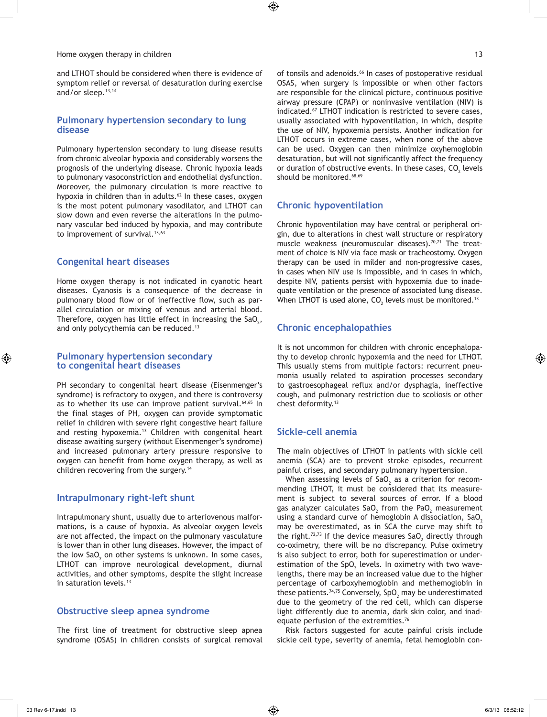and LTHOT should be considered when there is evidence of symptom relief or reversal of desaturation during exercise and/or sleep.13,14

## **Pulmonary hypertension secondary to lung disease**

Pulmonary hypertension secondary to lung disease results from chronic alveolar hypoxia and considerably worsens the prognosis of the underlying disease. Chronic hypoxia leads to pulmonary vasoconstriction and endothelial dysfunction. Moreover, the pulmonary circulation is more reactive to hypoxia in children than in adults.<sup>62</sup> In these cases, oxygen is the most potent pulmonary vasodilator, and LTHOT can slow down and even reverse the alterations in the pulmonary vascular bed induced by hypoxia, and may contribute to improvement of survival.<sup>13,63</sup>

#### **Congenital heart diseases**

Home oxygen therapy is not indicated in cyanotic heart diseases. Cyanosis is a consequence of the decrease in pulmonary blood flow or of ineffective flow, such as parallel circulation or mixing of venous and arterial blood. Therefore, oxygen has little effect in increasing the SaO $_2^{},$ and only polycythemia can be reduced.<sup>13</sup>

## **Pulmonary hypertension secondary to congenital heart diseases**

PH secondary to congenital heart disease (Eisenmenger's syndrome) is refractory to oxygen, and there is controversy as to whether its use can improve patient survival.<sup>64,65</sup> In the final stages of PH, oxygen can provide symptomatic relief in children with severe right congestive heart failure and resting hypoxemia.<sup>13</sup> Children with congenital heart disease awaiting surgery (without Eisenmenger's syndrome) and increased pulmonary artery pressure responsive to oxygen can benefit from home oxygen therapy, as well as children recovering from the surgery.14

#### **Intrapulmonary right-left shunt**

Intrapulmonary shunt, usually due to arteriovenous malformations, is a cause of hypoxia. As alveolar oxygen levels are not affected, the impact on the pulmonary vasculature is lower than in other lung diseases. However, the impact of the low SaO<sub>2</sub> on other systems is unknown. In some cases, LTHOT can improve neurological development, diurnal activities, and other symptoms, despite the slight increase in saturation levels.<sup>13</sup>

## **Obstructive sleep apnea syndrome**

The first line of treatment for obstructive sleep apnea syndrome (OSAS) in children consists of surgical removal of tonsils and adenoids.<sup>66</sup> In cases of postoperative residual OSAS, when surgery is impossible or when other factors are responsible for the clinical picture, continuous positive airway pressure (CPAP) or noninvasive ventilation (NIV) is indicated.<sup>67</sup> LTHOT indication is restricted to severe cases, usually associated with hypoventilation, in which, despite the use of NIV, hypoxemia persists. Another indication for LTHOT occurs in extreme cases, when none of the above can be used. Oxygen can then minimize oxyhemoglobin desaturation, but will not significantly affect the frequency or duration of obstructive events. In these cases, CO $_{\textrm{\tiny{2}}}$  levels should be monitored.<sup>68,69</sup>

## **Chronic hypoventilation**

Chronic hypoventilation may have central or peripheral origin, due to alterations in chest wall structure or respiratory muscle weakness (neuromuscular diseases).<sup>70,71</sup> The treatment of choice is NIV via face mask or tracheostomy. Oxygen therapy can be used in milder and non-progressive cases, in cases when NIV use is impossible, and in cases in which, despite NIV, patients persist with hypoxemia due to inadequate ventilation or the presence of associated lung disease. When LTHOT is used alone, CO $_{\textrm{\tiny{2}}}$  levels must be monitored. $^{\textrm{\tiny{13}}}$ 

### **Chronic encephalopathies**

It is not uncommon for children with chronic encephalopathy to develop chronic hypoxemia and the need for LTHOT. This usually stems from multiple factors: recurrent pneumonia usually related to aspiration processes secondary to gastroesophageal reflux and/or dysphagia, ineffective cough, and pulmonary restriction due to scoliosis or other chest deformity.13

## **Sickle-cell anemia**

The main objectives of LTHOT in patients with sickle cell anemia (SCA) are to prevent stroke episodes, recurrent painful crises, and secondary pulmonary hypertension.

When assessing levels of SaO<sub>2</sub> as a criterion for recommending LTHOT, it must be considered that its measurement is subject to several sources of error. If a blood gas analyzer calculates SaO $_2$  from the PaO $_2$  measurement using a standard curve of hemoglobin A dissociation, SaO<sub>2</sub> may be overestimated, as in SCA the curve may shift to the right.<sup>72,73</sup> If the device measures SaO<sub>2</sub> directly through co-oximetry, there will be no discrepancy. Pulse oximetry is also subject to error, both for superestimation or underestimation of the SpO $_{\textrm{\tiny{2}}}$  levels. In oximetry with two wavelengths, there may be an increased value due to the higher percentage of carboxyhemoglobin and methemoglobin in these patients.<sup>74,75</sup> Conversely, SpO<sub>2</sub> may be underestimated due to the geometry of the red cell, which can disperse light differently due to anemia, dark skin color, and inadequate perfusion of the extremities.<sup>76</sup>

Risk factors suggested for acute painful crisis include sickle cell type, severity of anemia, fetal hemoglobin con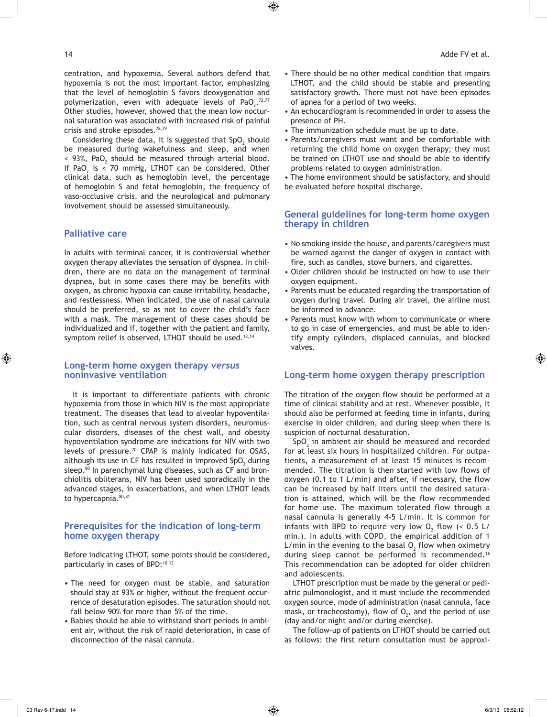centration, and hypoxemia. Several authors defend that hypoxemia is not the most important factor, emphasizing that the level of hemoglobin S favors deoxygenation and polymerization, even with adequate levels of PaO $_2$ .<sup>72,77</sup> Other studies, however, showed that the mean low nocturnal saturation was associated with increased risk of painful crisis and stroke episodes.78,79

Considering these data, it is suggested that  $\mathsf{SpO}_2$  should be measured during wakefulness and sleep, and when  $<$  93%, PaO<sub>2</sub> should be measured through arterial blood. If Pa $O_2$  is < 70 mmHg, LTHOT can be considered. Other clinical data, such as hemoglobin level, the percentage of hemoglobin S and fetal hemoglobin, the frequency of vaso-occlusive crisis, and the neurological and pulmonary involvement should be assessed simultaneously.

## **Palliative care**

In adults with terminal cancer, it is controversial whether oxygen therapy alleviates the sensation of dyspnea. In children, there are no data on the management of terminal dyspnea, but in some cases there may be benefits with oxygen, as chronic hypoxia can cause irritability, headache, and restlessness. When indicated, the use of nasal cannula should be preferred, so as not to cover the child's face with a mask. The management of these cases should be individualized and if, together with the patient and family, symptom relief is observed, LTHOT should be used.<sup>13,14</sup>

## **Long-term home oxygen therapy** *versus*  **noninvasive ventilation**

It is important to differentiate patients with chronic hypoxemia from those in which NIV is the most appropriate treatment. The diseases that lead to alveolar hypoventilation, such as central nervous system disorders, neuromuscular disorders, diseases of the chest wall, and obesity hypoventilation syndrome are indications for NIV with two levels of pressure.70 CPAP is mainly indicated for OSAS, although its use in CF has resulted in improved SpO $_{\textrm{\tiny{2}}}$  during sleep.<sup>80</sup> In parenchymal lung diseases, such as CF and bronchiolitis obliterans, NIV has been used sporadically in the advanced stages, in exacerbations, and when LTHOT leads to hypercapnia. 80,81

## **Prerequisites for the indication of long-term home oxygen therapy**

Before indicating LTHOT, some points should be considered, particularly in cases of BPD:10,13

- The need for oxygen must be stable, and saturation should stay at 93% or higher, without the frequent occurrence of desaturation episodes. The saturation should not fall below 90% for more than 5% of the time.
- Babies should be able to withstand short periods in ambient air, without the risk of rapid deterioration, in case of disconnection of the nasal cannula.
- There should be no other medical condition that impairs LTHOT, and the child should be stable and presenting satisfactory growth. There must not have been episodes of apnea for a period of two weeks.
- An echocardiogram is recommended in order to assess the presence of PH.
- The immunization schedule must be up to date.
- Parents/caregivers must want and be comfortable with returning the child home on oxygen therapy; they must be trained on LTHOT use and should be able to identify problems related to oxygen administration.

• The home environment should be satisfactory, and should be evaluated before hospital discharge.

## **General guidelines for long-term home oxygen therapy in children**

- No smoking inside the house, and parents/caregivers must be warned against the danger of oxygen in contact with fire, such as candles, stove burners, and cigarettes.
- Older children should be instructed on how to use their oxygen equipment.
- Parents must be educated regarding the transportation of oxygen during travel. During air travel, the airline must be informed in advance.
- Parents must know with whom to communicate or where to go in case of emergencies, and must be able to identify empty cylinders, displaced cannulas, and blocked valves.

## **Long-term home oxygen therapy prescription**

The titration of the oxygen flow should be performed at a time of clinical stability and at rest. Whenever possible, it should also be performed at feeding time in infants, during exercise in older children, and during sleep when there is suspicion of nocturnal desaturation.

 $\textsf{SpO}_2$  in ambient air should be measured and recorded for at least six hours in hospitalized children. For outpatients, a measurement of at least 15 minutes is recommended. The titration is then started with low flows of oxygen (0.1 to 1 L/min) and after, if necessary, the flow can be increased by half liters until the desired saturation is attained, which will be the flow recommended for home use. The maximum tolerated flow through a nasal cannula is generally 4-5 L/min. It is common for infants with BPD to require very low O<sub>2</sub> flow (< 0.5 L/ min.). In adults with COPD, the empirical addition of 1 L/min in the evening to the basal  $O_{2}$  flow when oximetry during sleep cannot be performed is recommended.<sup>16</sup> This recommendation can be adopted for older children and adolescents.

LTHOT prescription must be made by the general or pediatric pulmonologist, and it must include the recommended oxygen source, mode of administration (nasal cannula, face mask, or tracheostomy), flow of  $O<sub>2</sub>$ , and the period of use (day and/or night and/or during exercise).

The follow-up of patients on LTHOT should be carried out as follows: the first return consultation must be approxi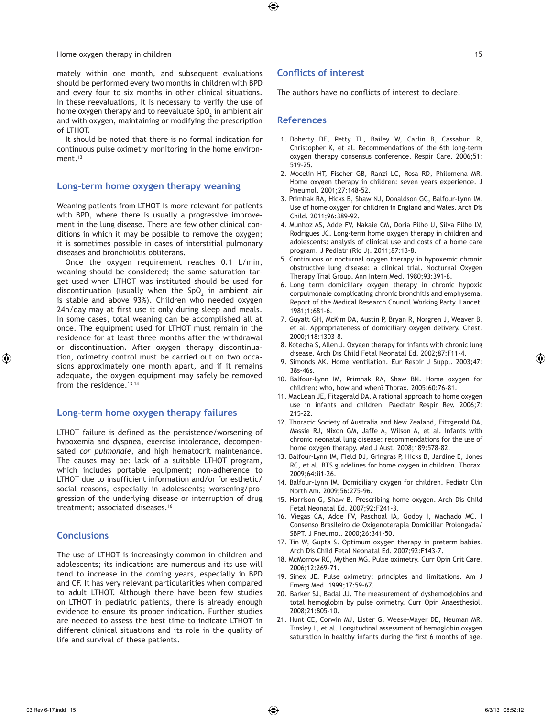mately within one month, and subsequent evaluations should be performed every two months in children with BPD and every four to six months in other clinical situations. In these reevaluations, it is necessary to verify the use of home oxygen therapy and to reevaluate SpO $_2$  in ambient air and with oxygen, maintaining or modifying the prescription of LTHOT.

It should be noted that there is no formal indication for continuous pulse oximetry monitoring in the home environment.<sup>13</sup>

## **Long-term home oxygen therapy weaning**

Weaning patients from LTHOT is more relevant for patients with BPD, where there is usually a progressive improvement in the lung disease. There are few other clinical conditions in which it may be possible to remove the oxygen; it is sometimes possible in cases of interstitial pulmonary diseases and bronchiolitis obliterans.

Once the oxygen requirement reaches 0.1 L/min, weaning should be considered; the same saturation target used when LTHOT was instituted should be used for discontinuation (usually when the SpO<sub>2</sub> in ambient air is stable and above 93%). Children who needed oxygen 24h/day may at first use it only during sleep and meals. In some cases, total weaning can be accomplished all at once. The equipment used for LTHOT must remain in the residence for at least three months after the withdrawal or discontinuation. After oxygen therapy discontinuation, oximetry control must be carried out on two occasions approximately one month apart, and if it remains adequate, the oxygen equipment may safely be removed from the residence.<sup>13,14</sup>

## **Long-term home oxygen therapy failures**

LTHOT failure is defined as the persistence/worsening of hypoxemia and dyspnea, exercise intolerance, decompensated *cor pulmonale*, and high hematocrit maintenance. The causes may be: lack of a suitable LTHOT program, which includes portable equipment; non-adherence to LTHOT due to insufficient information and/or for esthetic/ social reasons, especially in adolescents; worsening/progression of the underlying disease or interruption of drug treatment; associated diseases.16

## **Conclusions**

The use of LTHOT is increasingly common in children and adolescents; its indications are numerous and its use will tend to increase in the coming years, especially in BPD and CF. It has very relevant particularities when compared to adult LTHOT. Although there have been few studies on LTHOT in pediatric patients, there is already enough evidence to ensure its proper indication. Further studies are needed to assess the best time to indicate LTHOT in different clinical situations and its role in the quality of life and survival of these patients.

## **Conflicts of interest**

The authors have no conflicts of interest to declare.

## **References**

- 1. Doherty DE, Petty TL, Bailey W, Carlin B, Cassaburi R, Christopher K, et al. Recommendations of the 6th long-term oxygen therapy consensus conference. Respir Care. 2006;51: 519-25.
- 2. Mocelin HT, Fischer GB, Ranzi LC, Rosa RD, Philomena MR. Home oxygen therapy in children: seven years experience. J Pneumol. 2001;27:148-52.
- 3. Primhak RA, Hicks B, Shaw NJ, Donaldson GC, Balfour-Lynn IM. Use of home oxygen for children in England and Wales. Arch Dis Child. 2011;96:389-92.
- 4. Munhoz AS, Adde FV, Nakaie CM, Doria Filho U, Silva Filho LV, Rodrigues JC. Long-term home oxygen therapy in children and adolescents: analysis of clinical use and costs of a home care program. J Pediatr (Rio J). 2011;87:13-8.
- 5. Continuous or nocturnal oxygen therapy in hypoxemic chronic obstructive lung disease: a clinical trial. Nocturnal Oxygen Therapy Trial Group. Ann Intern Med. 1980;93:391-8.
- 6. Long term domiciliary oxygen therapy in chronic hypoxic corpulmonale complicating chronic bronchitis and emphysema. Report of the Medical Research Council Working Party. Lancet. 1981;1:681-6.
- 7. Guyatt GH, McKim DA, Austin P, Bryan R, Norgren J, Weaver B, et al. Appropriateness of domiciliary oxygen delivery. Chest. 2000;118:1303-8.
- 8. Kotecha S, Allen J. Oxygen therapy for infants with chronic lung disease. Arch Dis Child Fetal Neonatal Ed. 2002;87:F11-4.
- 9. Simonds AK. Home ventilation. Eur Respir J Suppl. 2003;47: 38s-46s.
- 10. Balfour-Lynn IM, Primhak RA, Shaw BN. Home oxygen for children: who, how and when? Thorax. 2005;60:76-81.
- 11. MacLean JE, Fitzgerald DA. A rational approach to home oxygen use in infants and children. Paediatr Respir Rev. 2006;7: 215-22.
- 12. Thoracic Society of Australia and New Zealand, Fitzgerald DA, Massie RJ, Nixon GM, Jaffe A, Wilson A, et al. Infants with chronic neonatal lung disease: recommendations for the use of home oxygen therapy. Med J Aust. 2008;189:578-82.
- 13. Balfour-Lynn IM, Field DJ, Gringras P, Hicks B, Jardine E, Jones RC, et al. BTS guidelines for home oxygen in children. Thorax. 2009;64:ii1-26.
- 14. Balfour-Lynn IM. Domiciliary oxygen for children. Pediatr Clin North Am. 2009;56:275-96.
- 15. Harrison G, Shaw B. Prescribing home oxygen. Arch Dis Child Fetal Neonatal Ed. 2007;92:F241-3.
- 16. Viegas CA, Adde FV, Paschoal IA, Godoy I, Machado MC. I Consenso Brasileiro de Oxigenoterapia Domiciliar Prolongada/ SBPT. J Pneumol. 2000;26:341-50.
- 17. Tin W, Gupta S. Optimum oxygen therapy in preterm babies. Arch Dis Child Fetal Neonatal Ed. 2007;92:F143-7.
- 18. McMorrow RC, Mythen MG. Pulse oximetry. Curr Opin Crit Care. 2006;12:269-71.
- 19. Sinex JE. Pulse oximetry: principles and limitations. Am J Emerg Med. 1999;17:59-67.
- 20. Barker SJ, Badal JJ. The measurement of dyshemoglobins and total hemoglobin by pulse oximetry. Curr Opin Anaesthesiol. 2008;21:805-10.
- 21. Hunt CE, Corwin MJ, Lister G, Weese-Mayer DE, Neuman MR, Tinsley L, et al. Longitudinal assessment of hemoglobin oxygen saturation in healthy infants during the first 6 months of age.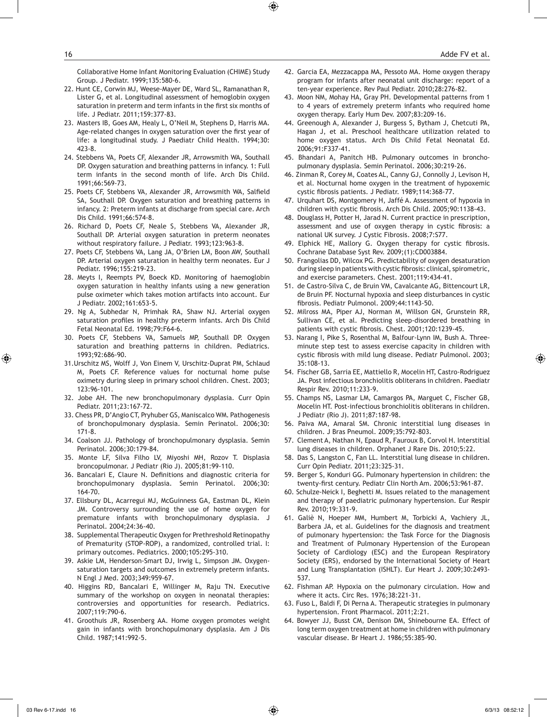Collaborative Home Infant Monitoring Evaluation (CHIME) Study Group. J Pediatr. 1999;135:580-6.

- 22. Hunt CE, Corwin MJ, Weese-Mayer DE, Ward SL, Ramanathan R, Lister G, et al. Longitudinal assessment of hemoglobin oxygen saturation in preterm and term infants in the first six months of life. J Pediatr. 2011;159:377-83.
- 23. Masters IB, Goes AM, Healy L, O'Neil M, Stephens D, Harris MA. Age-related changes in oxygen saturation over the first year of life: a longitudinal study. J Paediatr Child Health. 1994;30: 423-8.
- 24. Stebbens VA, Poets CF, Alexander JR, Arrowsmith WA, Southall DP. Oxygen saturation and breathing patterns in infancy. 1: Full term infants in the second month of life. Arch Dis Child. 1991;66:569-73.
- 25. Poets CF, Stebbens VA, Alexander JR, Arrowsmith WA, Salfield SA, Southall DP. Oxygen saturation and breathing patterns in infancy. 2: Preterm infants at discharge from special care. Arch Dis Child. 1991;66:574-8.
- 26. Richard D, Poets CF, Neale S, Stebbens VA, Alexander JR, Southall DP. Arterial oxygen saturation in preterm neonates without respiratory failure. J Pediatr. 1993;123:963-8.
- 27. Poets CF, Stebbens VA, Lang JA, O'Brien LM, Boon AW, Southall DP. Arterial oxygen saturation in healthy term neonates. Eur J Pediatr. 1996;155:219-23.
- 28. Meyts I, Reempts PV, Boeck KD. Monitoring of haemoglobin oxygen saturation in healthy infants using a new generation pulse oximeter which takes motion artifacts into account. Eur J Pediatr. 2002;161:653-5.
- 29. Ng A, Subhedar N, Primhak RA, Shaw NJ. Arterial oxygen saturation profiles in healthy preterm infants. Arch Dis Child Fetal Neonatal Ed. 1998;79:F64-6.
- 30. Poets CF, Stebbens VA, Samuels MP, Southall DP. Oxygen saturation and breathing patterns in children. Pediatrics. 1993;92:686-90.
- 31.Urschitz MS, Wolff J, Von Einem V, Urschitz-Duprat PM, Schlaud M, Poets CF. Reference values for nocturnal home pulse oximetry during sleep in primary school children. Chest. 2003; 123:96-101.
- 32. Jobe AH. The new bronchopulmonary dysplasia. Curr Opin Pediatr. 2011;23:167-72.
- 33. Chess PR, D'Angio CT, Pryhuber GS, Maniscalco WM. Pathogenesis of bronchopulmonary dysplasia. Semin Perinatol. 2006;30: 171-8.
- 34. Coalson JJ. Pathology of bronchopulmonary dysplasia. Semin Perinatol. 2006;30:179-84.
- 35. Monte LF, Silva Filho LV, Miyoshi MH, Rozov T. Displasia broncopulmonar. J Pediatr (Rio J). 2005;81:99-110.
- 36. Bancalari E, Claure N. Definitions and diagnostic criteria for bronchopulmonary dysplasia. Semin Perinatol. 2006;30: 164-70.
- 37. Ellsbury DL, Acarregui MJ, McGuinness GA, Eastman DL, Klein JM. Controversy surrounding the use of home oxygen for premature infants with bronchopulmonary dysplasia. J Perinatol. 2004;24:36-40.
- 38. Supplemental Therapeutic Oxygen for Prethreshold Retinopathy of Prematurity (STOP-ROP), a randomized, controlled trial. I: primary outcomes. Pediatrics. 2000;105:295-310.
- 39. Askie LM, Henderson-Smart DJ, Irwig L, Simpson JM. Oxygensaturation targets and outcomes in extremely preterm infants. N Engl J Med. 2003;349:959-67.
- 40. Higgins RD, Bancalari E, Willinger M, Raju TN. Executive summary of the workshop on oxygen in neonatal therapies: controversies and opportunities for research. Pediatrics. 2007;119:790-6.
- 41. Groothuis JR, Rosenberg AA. Home oxygen promotes weight gain in infants with bronchopulmonary dysplasia. Am J Dis Child. 1987;141:992-5.
- 42. Garcia EA, Mezzacappa MA, Pessoto MA. Home oxygen therapy program for infants after neonatal unit discharge: report of a ten-year experience. Rev Paul Pediatr. 2010;28:276-82.
- 43. Moon NM, Mohay HA, Gray PH. Developmental patterns from 1 to 4 years of extremely preterm infants who required home oxygen therapy. Early Hum Dev. 2007;83:209-16.
- 44. Greenough A, Alexander J, Burgess S, Bytham J, Chetcuti PA, Hagan J, et al. Preschool healthcare utilization related to home oxygen status. Arch Dis Child Fetal Neonatal Ed. 2006;91:F337-41.
- 45. Bhandari A, Panitch HB. Pulmonary outcomes in bronchopulmonary dysplasia. Semin Perinatol. 2006;30:219-26.
- 46. Zinman R, Corey M, Coates AL, Canny GJ, Connolly J, Levison H, et al. Nocturnal home oxygen in the treatment of hypoxemic cystic fibrosis patients. J Pediatr. 1989;114:368-77.
- 47. Urquhart DS, Montgomery H, Jaffé A. Assessment of hypoxia in children with cystic fibrosis. Arch Dis Child. 2005;90:1138-43.
- 48. Douglass H, Potter H, Jarad N. Current practice in prescription, assessment and use of oxygen therapy in cystic fibrosis: a national UK survey. J Cystic Fibrosis. 2008;7:S77.
- 49. Elphick HE, Mallory G. Oxygen therapy for cystic fibrosis. Cochrane Database Syst Rev. 2009;(1):CD003884.
- 50. Frangolias DD, Wilcox PG. Predictability of oxygen desaturation during sleep in patients with cystic fibrosis: clinical, spirometric, and exercise parameters. Chest. 2001;119:434-41.
- 51. de Castro-Silva C, de Bruin VM, Cavalcante AG, Bittencourt LR, de Bruin PF. Nocturnal hypoxia and sleep disturbances in cystic fibrosis. Pediatr Pulmonol. 2009;44:1143-50.
- 52. Milross MA, Piper AJ, Norman M, Willson GN, Grunstein RR, Sullivan CE, et al. Predicting sleep-disordered breathing in patients with cystic fibrosis. Chest. 2001;120:1239-45.
- 53. Narang I, Pike S, Rosenthal M, Balfour-Lynn IM, Bush A. Threeminute step test to assess exercise capacity in children with cystic fibrosis with mild lung disease. Pediatr Pulmonol. 2003; 35:108-13.
- 54. Fischer GB, Sarria EE, Mattiello R, Mocelin HT, Castro-Rodriguez JA. Post infectious bronchiolitis obliterans in children. Paediatr Respir Rev. 2010;11:233-9.
- 55. Champs NS, Lasmar LM, Camargos PA, Marguet C, Fischer GB, Mocelin HT. Post-infectious bronchiolitis obliterans in children. J Pediatr (Rio J). 2011;87:187-98.
- 56. Paiva MA, Amaral SM. Chronic interstitial lung diseases in children. J Bras Pneumol. 2009;35:792-803.
- 57. Clement A, Nathan N, Epaud R, Fauroux B, Corvol H. Interstitial lung diseases in children. Orphanet J Rare Dis. 2010;5:22.
- 58. Das S, Langston C, Fan LL. Interstitial lung disease in children. Curr Opin Pediatr. 2011;23:325-31.
- 59. Berger S, Konduri GG. Pulmonary hypertension in children: the twenty-first century. Pediatr Clin North Am. 2006;53:961-87.
- 60. Schulze-Neick I, Beghetti M. Issues related to the management and therapy of paediatric pulmonary hypertension. Eur Respir Rev. 2010;19:331-9.
- 61. Galiè N, Hoeper MM, Humbert M, Torbicki A, Vachiery JL, Barbera JA, et al. Guidelines for the diagnosis and treatment of pulmonary hypertension: the Task Force for the Diagnosis and Treatment of Pulmonary Hypertension of the European Society of Cardiology (ESC) and the European Respiratory Society (ERS), endorsed by the International Society of Heart and Lung Transplantation (ISHLT). Eur Heart J. 2009;30:2493- 537.
- 62. Fishman AP. Hypoxia on the pulmonary circulation. How and where it acts. Circ Res. 1976;38:221-31.
- 63. Fuso L, Baldi F, Di Perna A. Therapeutic strategies in pulmonary hypertension. Front Pharmacol. 2011;2:21.
- 64. Bowyer JJ, Busst CM, Denison DM, Shinebourne EA. Effect of long term oxygen treatment at home in children with pulmonary vascular disease. Br Heart J. 1986;55:385-90.